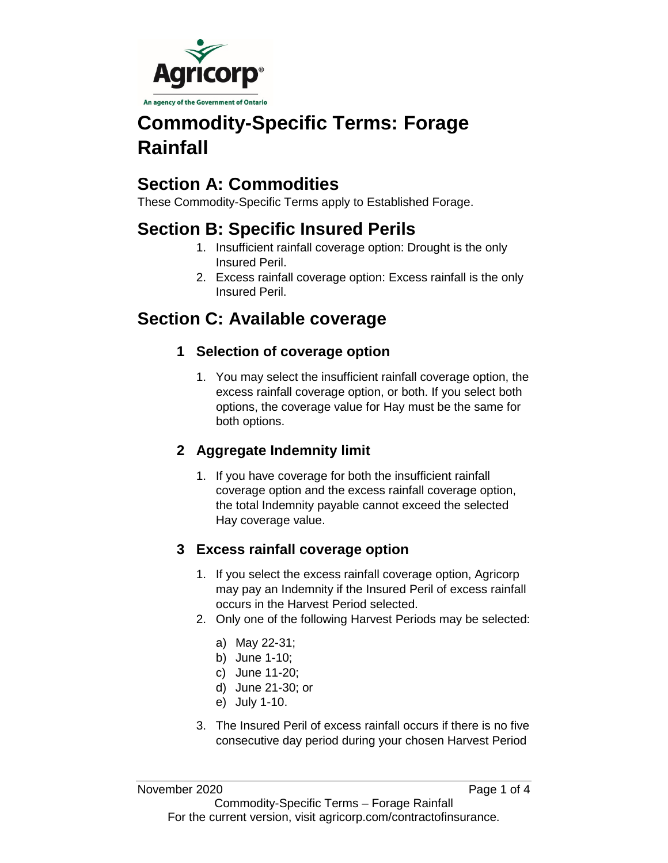

# **Commodity-Specific Terms: Forage Rainfall**

## **Section A: Commodities**

These Commodity-Specific Terms apply to Established Forage.

## **Section B: Specific Insured Perils**

- 1. Insufficient rainfall coverage option: Drought is the only Insured Peril.
- 2. Excess rainfall coverage option: Excess rainfall is the only Insured Peril.

## **Section C: Available coverage**

### **1 Selection of coverage option**

1. You may select the insufficient rainfall coverage option, the excess rainfall coverage option, or both. If you select both options, the coverage value for Hay must be the same for both options.

### **2 Aggregate Indemnity limit**

1. If you have coverage for both the insufficient rainfall coverage option and the excess rainfall coverage option, the total Indemnity payable cannot exceed the selected Hay coverage value.

### **3 Excess rainfall coverage option**

- 1. If you select the excess rainfall coverage option, Agricorp may pay an Indemnity if the Insured Peril of excess rainfall occurs in the Harvest Period selected.
- 2. Only one of the following Harvest Periods may be selected:
	- a) May 22-31;
	- b) June 1-10;
	- c) June 11-20;
	- d) June 21-30; or
	- e) July 1-10.
- 3. The Insured Peril of excess rainfall occurs if there is no five consecutive day period during your chosen Harvest Period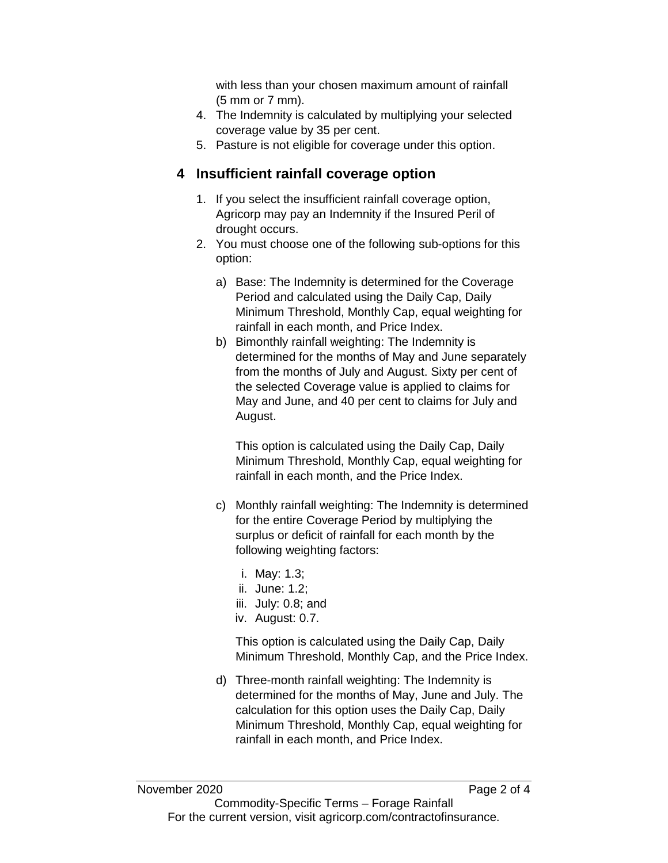with less than your chosen maximum amount of rainfall (5 mm or 7 mm).

- 4. The Indemnity is calculated by multiplying your selected coverage value by 35 per cent.
- 5. Pasture is not eligible for coverage under this option.

#### **4 Insufficient rainfall coverage option**

- 1. If you select the insufficient rainfall coverage option, Agricorp may pay an Indemnity if the Insured Peril of drought occurs.
- 2. You must choose one of the following sub-options for this option:
	- a) Base: The Indemnity is determined for the Coverage Period and calculated using the Daily Cap, Daily Minimum Threshold, Monthly Cap, equal weighting for rainfall in each month, and Price Index.
	- b) Bimonthly rainfall weighting: The Indemnity is determined for the months of May and June separately from the months of July and August. Sixty per cent of the selected Coverage value is applied to claims for May and June, and 40 per cent to claims for July and August.

This option is calculated using the Daily Cap, Daily Minimum Threshold, Monthly Cap, equal weighting for rainfall in each month, and the Price Index.

- c) Monthly rainfall weighting: The Indemnity is determined for the entire Coverage Period by multiplying the surplus or deficit of rainfall for each month by the following weighting factors:
	- i. May: 1.3;
	- ii. June: 1.2;
	- iii. July: 0.8; and
	- iv. August: 0.7.

This option is calculated using the Daily Cap, Daily Minimum Threshold, Monthly Cap, and the Price Index.

d) Three-month rainfall weighting: The Indemnity is determined for the months of May, June and July. The calculation for this option uses the Daily Cap, Daily Minimum Threshold, Monthly Cap, equal weighting for rainfall in each month, and Price Index.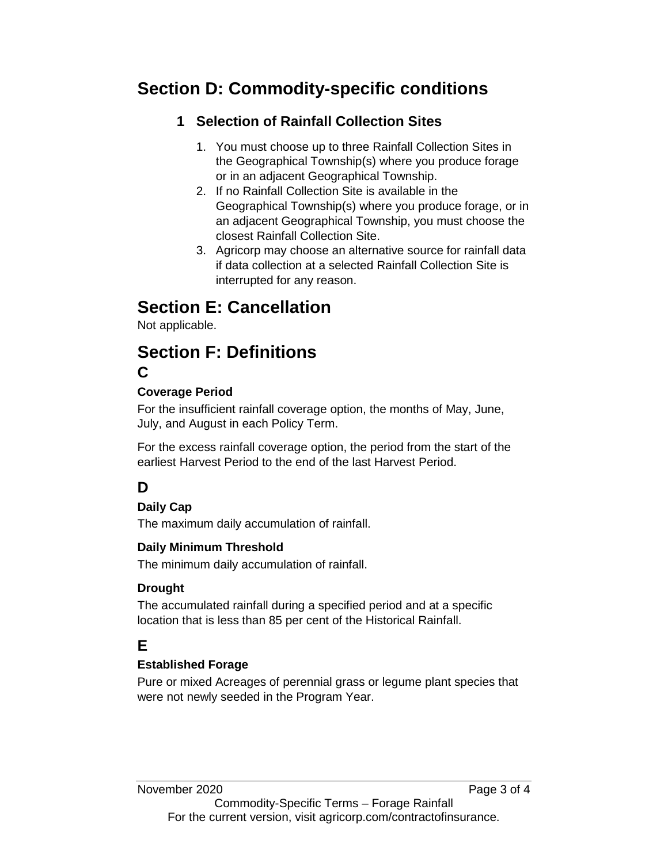## **Section D: Commodity-specific conditions**

### **1 Selection of Rainfall Collection Sites**

- 1. You must choose up to three Rainfall Collection Sites in the Geographical Township(s) where you produce forage or in an adjacent Geographical Township.
- 2. If no Rainfall Collection Site is available in the Geographical Township(s) where you produce forage, or in an adjacent Geographical Township, you must choose the closest Rainfall Collection Site.
- 3. Agricorp may choose an alternative source for rainfall data if data collection at a selected Rainfall Collection Site is interrupted for any reason.

## **Section E: Cancellation**

Not applicable.

### **Section F: Definitions C**

#### **Coverage Period**

For the insufficient rainfall coverage option, the months of May, June, July, and August in each Policy Term.

For the excess rainfall coverage option, the period from the start of the earliest Harvest Period to the end of the last Harvest Period.

## **D**

#### **Daily Cap**

The maximum daily accumulation of rainfall.

#### **Daily Minimum Threshold**

The minimum daily accumulation of rainfall.

#### **Drought**

The accumulated rainfall during a specified period and at a specific location that is less than 85 per cent of the Historical Rainfall.

## **E**

#### **Established Forage**

Pure or mixed Acreages of perennial grass or legume plant species that were not newly seeded in the Program Year.